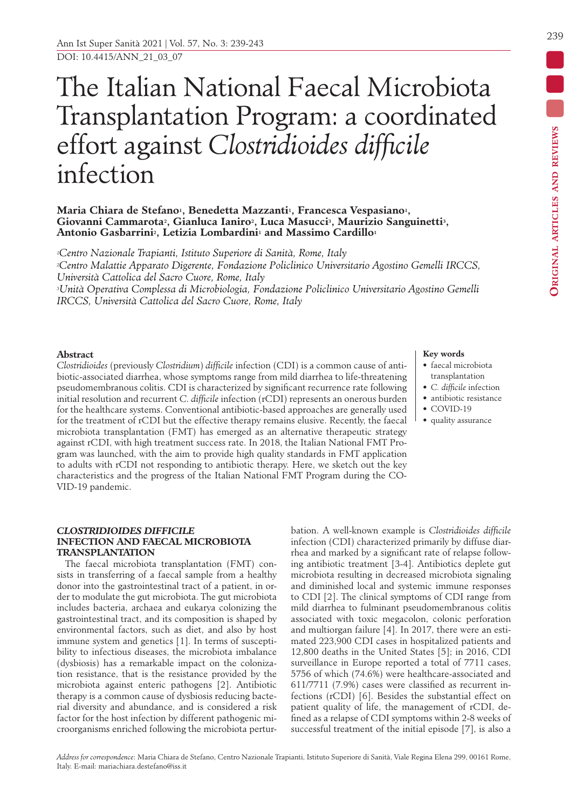# The Italian National Faecal Microbiota Transplantation Program: a coordinated effort against *Clostridioides difficile*  infection

### Maria Chiara de Stefano<sup>1</sup>, Benedetta Mazzanti<sup>1</sup>, Francesca Vespasiano<sup>1</sup>, Giovanni Cammarota<sup>2</sup>, Gianluca Ianiro<sup>2</sup>, Luca Masucci<sup>3</sup>, Maurizio Sanguinetti<sup>3</sup>, Antonio Gasbarrini<sup>2</sup>, Letizia Lombardini<sup>1</sup> and Massimo Cardillo<sup>1</sup>

*1Centro Nazionale Trapianti, Istituto Superiore di Sanità, Rome, Italy*

*2Centro Malattie Apparato Digerente, Fondazione Policlinico Universitario Agostino Gemelli IRCCS, Università Cattolica del Sacro Cuore, Rome, Italy*

*3Unità Operativa Complessa di Microbiologia, Fondazione Policlinico Universitario Agostino Gemelli IRCCS, Università Cattolica del Sacro Cuore, Rome, Italy*

#### **Abstract**

*Clostridioides* (previously *Clostridium*) *difficile* infection (CDI) is a common cause of antibiotic-associated diarrhea, whose symptoms range from mild diarrhea to life-threatening pseudomembranous colitis. CDI is characterized by significant recurrence rate following initial resolution and recurrent *C. difficile* infection (rCDI) represents an onerous burden for the healthcare systems. Conventional antibiotic‐based approaches are generally used for the treatment of rCDI but the effective therapy remains elusive. Recently, the faecal microbiota transplantation (FMT) has emerged as an alternative therapeutic strategy against rCDI, with high treatment success rate. In 2018, the Italian National FMT Program was launched, with the aim to provide high quality standards in FMT application to adults with rCDI not responding to antibiotic therapy. Here, we sketch out the key characteristics and the progress of the Italian National FMT Program during the CO-VID-19 pandemic.

#### *CLOSTRIDIOIDES DIFFICILE*  **INFECTION AND FAECAL MICROBIOTA TRANSPLANTATION**

The faecal microbiota transplantation (FMT) consists in transferring of a faecal sample from a healthy donor into the gastrointestinal tract of a patient, in order to modulate the gut microbiota. The gut microbiota includes bacteria, archaea and eukarya colonizing the gastrointestinal tract, and its composition is shaped by environmental factors, such as diet, and also by host immune system and genetics [1]. In terms of susceptibility to infectious diseases, the microbiota imbalance (dysbiosis) has a remarkable impact on the colonization resistance, that is the resistance provided by the microbiota against enteric pathogens [2]. Antibiotic therapy is a common cause of dysbiosis reducing bacterial diversity and abundance, and is considered a risk factor for the host infection by different pathogenic microorganisms enriched following the microbiota perturbation. A well-known example is *Clostridioides difficile*  infection (CDI) characterized primarily by diffuse diarrhea and marked by a significant rate of relapse following antibiotic treatment [3-4]. Antibiotics deplete gut microbiota resulting in decreased microbiota signaling and diminished local and systemic immune responses to CDI [2]. The clinical symptoms of CDI range from mild diarrhea to fulminant pseudomembranous colitis associated with toxic megacolon, colonic perforation and multiorgan failure [4]. In 2017, there were an estimated 223,900 CDI cases in hospitalized patients and 12,800 deaths in the United States [5]; in 2016, CDI surveillance in Europe reported a total of 7711 cases, 5756 of which (74.6%) were healthcare-associated and 611/7711 (7.9%) cases were classified as recurrent infections (rCDI) [6]. Besides the substantial effect on patient quality of life, the management of rCDI, defined as a relapse of CDI symptoms within 2-8 weeks of successful treatment of the initial episode [7], is also a

## **Key words** • faecal microbiota

- transplantation
- *C. difficile* infection • antibiotic resistance
- COVID-19
- quality assurance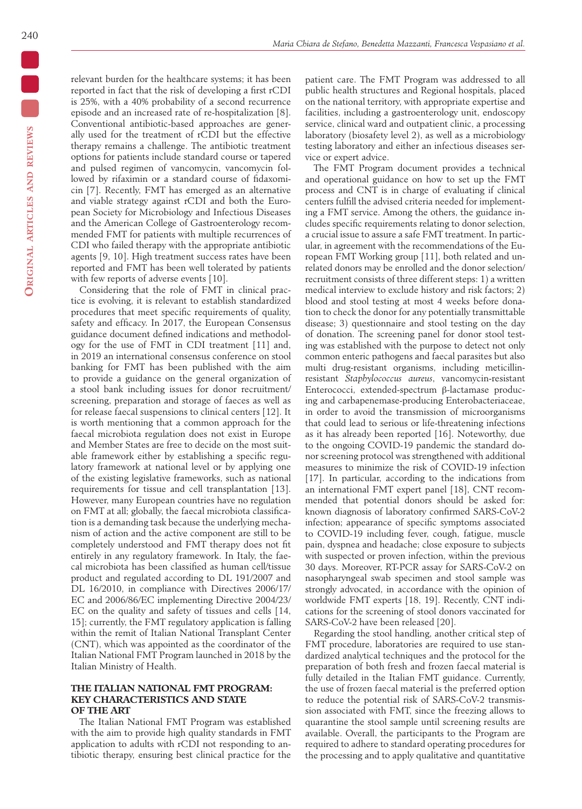relevant burden for the healthcare systems; it has been reported in fact that the risk of developing a first rCDI is 25%, with a 40% probability of a second recurrence episode and an increased rate of re-hospitalization [8]. Conventional antibiotic‐based approaches are generally used for the treatment of rCDI but the effective therapy remains a challenge. The antibiotic treatment options for patients include standard course or tapered and pulsed regimen of vancomycin, vancomycin followed by rifaximin or a standard course of fidaxomicin [7]. Recently, FMT has emerged as an alternative and viable strategy against rCDI and both the European Society for Microbiology and Infectious Diseases and the American College of Gastroenterology recommended FMT for patients with multiple recurrences of CDI who failed therapy with the appropriate antibiotic agents [9, 10]. High treatment success rates have been reported and FMT has been well tolerated by patients with few reports of adverse events [10].

Considering that the role of FMT in clinical practice is evolving, it is relevant to establish standardized procedures that meet specific requirements of quality, safety and efficacy. In 2017, the European Consensus guidance document defined indications and methodology for the use of FMT in CDI treatment [11] and, in 2019 an international consensus conference on stool banking for FMT has been published with the aim to provide a guidance on the general organization of a stool bank including issues for donor recruitment/ screening, preparation and storage of faeces as well as for release faecal suspensions to clinical centers [12]. It is worth mentioning that a common approach for the faecal microbiota regulation does not exist in Europe and Member States are free to decide on the most suitable framework either by establishing a specific regulatory framework at national level or by applying one of the existing legislative frameworks, such as national requirements for tissue and cell transplantation [13]. However, many European countries have no regulation on FMT at all; globally, the faecal microbiota classification is a demanding task because the underlying mechanism of action and the active component are still to be completely understood and FMT therapy does not fit entirely in any regulatory framework. In Italy, the faecal microbiota has been classified as human cell/tissue product and regulated according to DL 191/2007 and DL 16/2010, in compliance with Directives 2006/17/ EC and 2006/86/EC implementing Directive 2004/23/ EC on the quality and safety of tissues and cells [14, 15]; currently, the FMT regulatory application is falling within the remit of Italian National Transplant Center (CNT), which was appointed as the coordinator of the Italian National FMT Program launched in 2018 by the Italian Ministry of Health.

#### **THE ITALIAN NATIONAL FMT PROGRAM: KEY CHARACTERISTICS AND STATE OF THE ART**

The Italian National FMT Program was established with the aim to provide high quality standards in FMT application to adults with rCDI not responding to antibiotic therapy, ensuring best clinical practice for the

patient care. The FMT Program was addressed to all public health structures and Regional hospitals, placed on the national territory, with appropriate expertise and facilities, including a gastroenterology unit, endoscopy service, clinical ward and outpatient clinic, a processing laboratory (biosafety level 2), as well as a microbiology testing laboratory and either an infectious diseases service or expert advice.

The FMT Program document provides a technical and operational guidance on how to set up the FMT process and CNT is in charge of evaluating if clinical centers fulfill the advised criteria needed for implementing a FMT service. Among the others, the guidance includes specific requirements relating to donor selection, a crucial issue to assure a safe FMT treatment. In particular, in agreement with the recommendations of the European FMT Working group [11], both related and unrelated donors may be enrolled and the donor selection/ recruitment consists of three different steps: 1) a written medical interview to exclude history and risk factors; 2) blood and stool testing at most 4 weeks before donation to check the donor for any potentially transmittable disease; 3) questionnaire and stool testing on the day of donation. The screening panel for donor stool testing was established with the purpose to detect not only common enteric pathogens and faecal parasites but also multi drug-resistant organisms, including meticillinresistant *Staphylococcus aureus*, vancomycin-resistant Enterococci, extended-spectrum β-lactamase producing and carbapenemase-producing Enterobacteriaceae, in order to avoid the transmission of microorganisms that could lead to serious or life-threatening infections as it has already been reported [16]. Noteworthy, due to the ongoing COVID-19 pandemic the standard donor screening protocol was strengthened with additional measures to minimize the risk of COVID-19 infection [17]. In particular, according to the indications from an international FMT expert panel [18], CNT recommended that potential donors should be asked for: known diagnosis of laboratory confirmed SARS-CoV-2 infection; appearance of specific symptoms associated to COVID-19 including fever, cough, fatigue, muscle pain, dyspnea and headache; close exposure to subjects with suspected or proven infection, within the previous 30 days. Moreover, RT-PCR assay for SARS-CoV-2 on nasopharyngeal swab specimen and stool sample was strongly advocated, in accordance with the opinion of worldwide FMT experts [18, 19]. Recently, CNT indications for the screening of stool donors vaccinated for SARS-CoV-2 have been released [20].

Regarding the stool handling, another critical step of FMT procedure, laboratories are required to use standardized analytical techniques and the protocol for the preparation of both fresh and frozen faecal material is fully detailed in the Italian FMT guidance. Currently, the use of frozen faecal material is the preferred option to reduce the potential risk of SARS-CoV-2 transmission associated with FMT, since the freezing allows to quarantine the stool sample until screening results are available. Overall, the participants to the Program are required to adhere to standard operating procedures for the processing and to apply qualitative and quantitative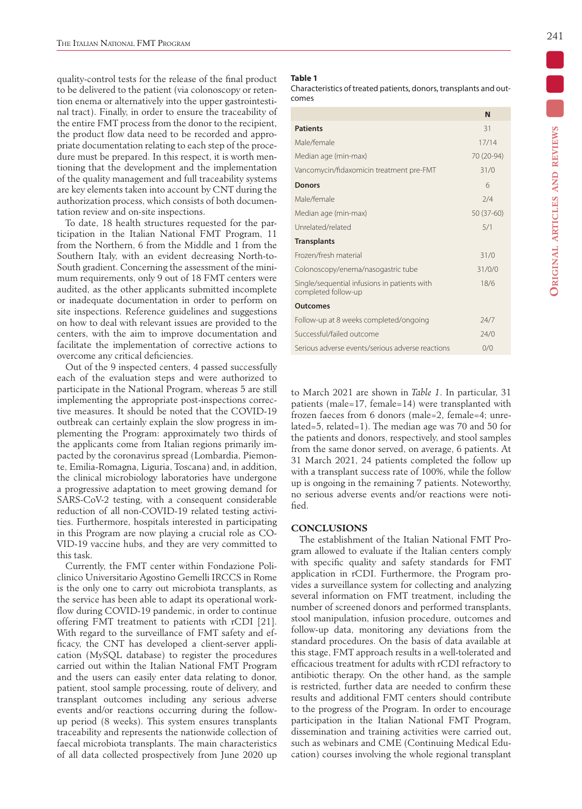quality-control tests for the release of the final product to be delivered to the patient (via colonoscopy or retention enema or alternatively into the upper gastrointestinal tract). Finally, in order to ensure the traceability of the entire FMT process from the donor to the recipient, the product flow data need to be recorded and appropriate documentation relating to each step of the procedure must be prepared. In this respect, it is worth mentioning that the development and the implementation of the quality management and full traceability systems are key elements taken into account by CNT during the authorization process, which consists of both documentation review and on-site inspections.

To date, 18 health structures requested for the participation in the Italian National FMT Program, 11 from the Northern, 6 from the Middle and 1 from the Southern Italy, with an evident decreasing North-to-South gradient. Concerning the assessment of the minimum requirements, only 9 out of 18 FMT centers were audited, as the other applicants submitted incomplete or inadequate documentation in order to perform on site inspections. Reference guidelines and suggestions on how to deal with relevant issues are provided to the centers, with the aim to improve documentation and facilitate the implementation of corrective actions to overcome any critical deficiencies.

Out of the 9 inspected centers, 4 passed successfully each of the evaluation steps and were authorized to participate in the National Program, whereas 5 are still implementing the appropriate post-inspections corrective measures. It should be noted that the COVID-19 outbreak can certainly explain the slow progress in implementing the Program: approximately two thirds of the applicants come from Italian regions primarily impacted by the coronavirus spread (Lombardia, Piemonte, Emilia-Romagna, Liguria, Toscana) and, in addition, the clinical microbiology laboratories have undergone a progressive adaptation to meet growing demand for SARS-CoV-2 testing, with a consequent considerable reduction of all non-COVID-19 related testing activities. Furthermore, hospitals interested in participating in this Program are now playing a crucial role as CO-VID-19 vaccine hubs, and they are very committed to this task.

Currently, the FMT center within Fondazione Policlinico Universitario Agostino Gemelli IRCCS in Rome is the only one to carry out microbiota transplants, as the service has been able to adapt its operational workflow during COVID-19 pandemic, in order to continue offering FMT treatment to patients with rCDI [21]. With regard to the surveillance of FMT safety and efficacy, the CNT has developed a client-server application (MySQL database) to register the procedures carried out within the Italian National FMT Program and the users can easily enter data relating to donor, patient, stool sample processing, route of delivery, and transplant outcomes including any serious adverse events and/or reactions occurring during the followup period (8 weeks). This system ensures transplants traceability and represents the nationwide collection of faecal microbiota transplants. The main characteristics of all data collected prospectively from June 2020 up

#### **Table 1**

Characteristics of treated patients, donors, transplants and outcomes

|                                                                     | N          |
|---------------------------------------------------------------------|------------|
| <b>Patients</b>                                                     | 31         |
| Male/female                                                         | 17/14      |
| Median age (min-max)                                                | 70 (20-94) |
| Vancomycin/fidaxomicin treatment pre-FMT                            | 31/0       |
| <b>Donors</b>                                                       | 6          |
| Male/female                                                         | 7/4        |
| Median age (min-max)                                                | 50 (37-60) |
| Unrelated/related                                                   | 5/1        |
| <b>Transplants</b>                                                  |            |
| Frozen/fresh material                                               | 31/0       |
| Colonoscopy/enema/nasogastric tube                                  | 31/0/0     |
| Single/sequential infusions in patients with<br>completed follow-up | 18/6       |
| <b>Outcomes</b>                                                     |            |
| Follow-up at 8 weeks completed/ongoing                              | 74/7       |
| Successful/failed outcome                                           | 74/0       |
| Serious adverse events/serious adverse reactions                    | 0/0        |

to March 2021 are shown in *Table 1*. In particular, 31 patients (male=17, female=14) were transplanted with frozen faeces from 6 donors (male=2, female=4; unrelated=5, related=1). The median age was 70 and 50 for the patients and donors, respectively, and stool samples from the same donor served, on average, 6 patients. At 31 March 2021, 24 patients completed the follow up with a transplant success rate of 100%, while the follow up is ongoing in the remaining 7 patients. Noteworthy, no serious adverse events and/or reactions were notified.

#### **CONCLUSIONS**

The establishment of the Italian National FMT Program allowed to evaluate if the Italian centers comply with specific quality and safety standards for FMT application in rCDI. Furthermore, the Program provides a surveillance system for collecting and analyzing several information on FMT treatment, including the number of screened donors and performed transplants, stool manipulation, infusion procedure, outcomes and follow-up data, monitoring any deviations from the standard procedures. On the basis of data available at this stage, FMT approach results in a well-tolerated and efficacious treatment for adults with rCDI refractory to antibiotic therapy. On the other hand, as the sample is restricted, further data are needed to confirm these results and additional FMT centers should contribute to the progress of the Program. In order to encourage participation in the Italian National FMT Program, dissemination and training activities were carried out, such as webinars and CME (Continuing Medical Education) courses involving the whole regional transplant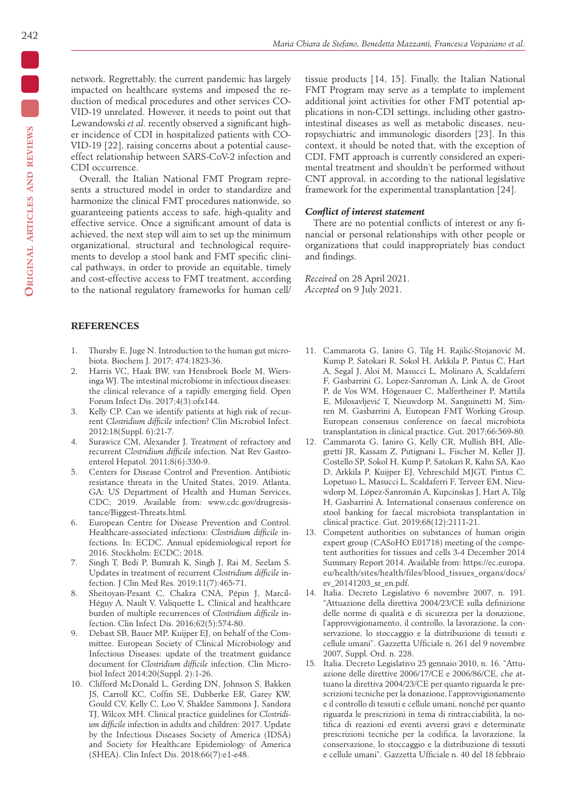network. Regrettably, the current pandemic has largely impacted on healthcare systems and imposed the reduction of medical procedures and other services CO-VID-19 unrelated. However, it needs to point out that Lewandowski *et al.* recently observed a significant higher incidence of CDI in hospitalized patients with CO-VID-19 [22], raising concerns about a potential causeeffect relationship between SARS-CoV-2 infection and CDI occurrence.

Overall, the Italian National FMT Program represents a structured model in order to standardize and harmonize the clinical FMT procedures nationwide, so guaranteeing patients access to safe, high-quality and effective service. Once a significant amount of data is achieved, the next step will aim to set up the minimum organizational, structural and technological requirements to develop a stool bank and FMT specific clinical pathways, in order to provide an equitable, timely and cost-effective access to FMT treatment, according to the national regulatory frameworks for human cell/

#### **REFERENCES**

- 1. Thursby E, Juge N. Introduction to the human gut microbiota. Biochem J. 2017; 474:1823-36.
- 2. Harris VC, Haak BW, van Hensbroek Boele M, Wiersinga WJ. The intestinal microbiome in infectious diseases: the clinical relevance of a rapidly emerging field. Open Forum Infect Dis. 2017;4(3):ofx144.
- 3. Kelly CP. Can we identify patients at high risk of recurrent *Clostridium difficile* infection? Clin Microbiol Infect. 2012;18(Suppl. 6):21-7.
- 4. Surawicz CM, Alexander J. Treatment of refractory and recurrent *Clostridium difficile* infection. Nat Rev Gastroenterol Hepatol. 2011;8(6):330-9.
- 5. Centers for Disease Control and Prevention. Antibiotic resistance threats in the United States, 2019. Atlanta, GA: US Department of Health and Human Services, CDC; 2019. Available from: www.cdc.gov/drugresistance/Biggest-Threats.html.
- 6. European Centre for Disease Prevention and Control. Healthcare-associated infections: *Clostridium difficile* infections. In: ECDC. Annual epidemiological report for 2016. Stockholm: ECDC; 2018.
- 7. Singh T, Bedi P, Bumrah K, Singh J, Rai M, Seelam S. Updates in treatment of recurrent *Clostridium difficile* infection. J Clin Med Res. 2019;11(7):465-71.
- 8. Sheitoyan-Pesant C, Chakra CNA, Pépin J, Marcil-Héguy A, Nault V, Valiquette L. Clinical and healthcare burden of multiple recurrences of *Clostridium difficile* infection. Clin Infect Dis. 2016;62(5):574-80.
- Debast SB, Bauer MP, Kuijper EJ, on behalf of the Committee. European Society of Clinical Microbiology and Infectious Diseases: update of the treatment guidance document for *Clostridium difficile* infection. Clin Microbiol Infect 2014;20(Suppl. 2):1-26.
- 10. Clifford McDonald L, Gerding DN, Johnson S, Bakken JS, Carroll KC, Coffin SE, Dubberke ER, Garey KW, Gould CV, Kelly C, Loo V, Shaklee Sammons J, Sandora TJ, Wilcox MH. Clinical practice guidelines for *Clostridium difficile* infection in adults and children: 2017. Update by the Infectious Diseases Society of America (IDSA) and Society for Healthcare Epidemiology of America (SHEA). Clin Infect Dis. 2018;66(7):e1-e48.

tissue products [14, 15]. Finally, the Italian National FMT Program may serve as a template to implement additional joint activities for other FMT potential applications in non-CDI settings, including other gastrointestinal diseases as well as metabolic diseases, neuropsychiatric and immunologic disorders [23]. In this context, it should be noted that, with the exception of CDI, FMT approach is currently considered an experimental treatment and shouldn't be performed without CNT approval, in according to the national legislative framework for the experimental transplantation [24].

#### *Conflict of interest statement*

There are no potential conflicts of interest or any financial or personal relationships with other people or organizations that could inappropriately bias conduct and findings.

*Received* on 28 April 2021. *Accepted* on 9 July 2021.

- 11. Cammarota G, Ianiro G, Tilg H, Rajilić-Stojanović M, Kump P, Satokari R, Sokol H, Arkkila P, Pintus C, Hart A, Segal J, Aloi M, Masucci L, Molinaro A, Scaldaferri F, Gasbarrini G, Lopez-Sanroman A, Link A, de Groot P, de Vos WM, Högenauer C, Malfertheiner P, Mattila E, Milosavljevic´ T, Nieuwdorp M, Sanguinetti M, Simren M, Gasbarrini A, European FMT Working Group. European consensus conference on faecal microbiota transplantation in clinical practice. Gut. 2017;66:569-80.
- 12. Cammarota G, Ianiro G, Kelly CR, Mullish BH, Allegretti JR, Kassam Z, Putignani L, Fischer M, Keller JJ, Costello SP, Sokol H, Kump P, Satokari R, Kahn SA, Kao D, Arkkila P, Kuijper EJ, Vehreschild MJGT, Pintus C, Lopetuso L, Masucci L, Scaldaferri F, Terveer EM, Nieuwdorp M, López-Sanromán A, Kupcinskas J, Hart A, Tilg H, Gasbarrini A. International consensus conference on stool banking for faecal microbiota transplantation in clinical practice. Gut. 2019;68(12):2111-21.
- 13. Competent authorities on substances of human origin expert group (CASoHO E01718) meeting of the competent authorities for tissues and cells 3-4 December 2014 Summary Report 2014. Available from: https://ec.europa. eu/health/sites/health/files/blood\_tissues\_organs/docs/ ev\_20141203\_sr\_en.pdf.
- 14. Italia. Decreto Legislativo 6 novembre 2007, n. 191. "Attuazione della direttiva 2004/23/CE sulla definizione delle norme di qualità e di sicurezza per la donazione, l'approvvigionamento, il controllo, la lavorazione, la conservazione, lo stoccaggio e la distribuzione di tessuti e cellule umani". Gazzetta Ufficiale n. 261 del 9 novembre 2007, Suppl. Ord. n. 228.
- 15. Italia. Decreto Legislativo 25 gennaio 2010, n. 16. "Attuazione delle direttive 2006/17/CE e 2006/86/CE, che attuano la direttiva 2004/23/CE per quanto riguarda le prescrizioni tecniche per la donazione, l'approvvigionamento e il controllo di tessuti e cellule umani, nonché per quanto riguarda le prescrizioni in tema di rintracciabilità, la notifica di reazioni ed eventi avversi gravi e determinate prescrizioni tecniche per la codifica, la lavorazione, la conservazione, lo stoccaggio e la distribuzione di tessuti e cellule umani". Gazzetta Ufficiale n. 40 del 18 febbraio